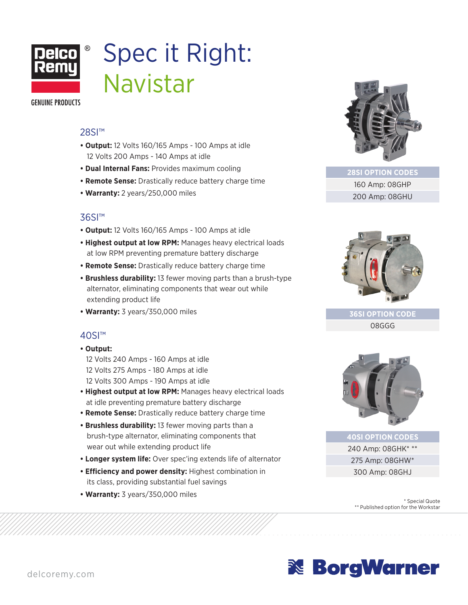

## Spec it Right: Navistar

**GENUINE PRODUCTS** 

#### 28SI<sup>™</sup>

- **Output:** 12 Volts 160/165 Amps 100 Amps at idle 12 Volts 200 Amps - 140 Amps at idle
- **Dual Internal Fans:** Provides maximum cooling
- **Remote Sense:** Drastically reduce battery charge time
- **Warranty:** 2 years/250,000 miles

#### 36SI™

- **Output:** 12 Volts 160/165 Amps 100 Amps at idle
- **Highest output at low RPM:** Manages heavy electrical loads at low RPM preventing premature battery discharge
- **Remote Sense:** Drastically reduce battery charge time
- **Brushless durability:** 13 fewer moving parts than a brush-type alternator, eliminating components that wear out while extending product life
- **Warranty:** 3 years/350,000 miles

#### 40SI™

#### **• Output:**

- 12 Volts 240 Amps 160 Amps at idle 12 Volts 275 Amps - 180 Amps at idle 12 Volts 300 Amps - 190 Amps at idle
- **Highest output at low RPM:** Manages heavy electrical loads at idle preventing premature battery discharge
- **Remote Sense:** Drastically reduce battery charge time
- **Brushless durability:** 13 fewer moving parts than a brush-type alternator, eliminating components that wear out while extending product life
- **Longer system life:** Over spec'ing extends life of alternator
- **Efficiency and power density:** Highest combination in its class, providing substantial fuel savings
- **Warranty:** 3 years/350,000 miles



**28SI OPTION CODES** 160 Amp: 08GHP 200 Amp: 08GHU



**36SI OPTION CODE** 08GGG



**40SI OPTION CODES** 240 Amp: 08GHK\* \*\* 275 Amp: 08GHW\* 300 Amp: 08GHJ

> \* Special Quote \*\* Published option for the Workstar